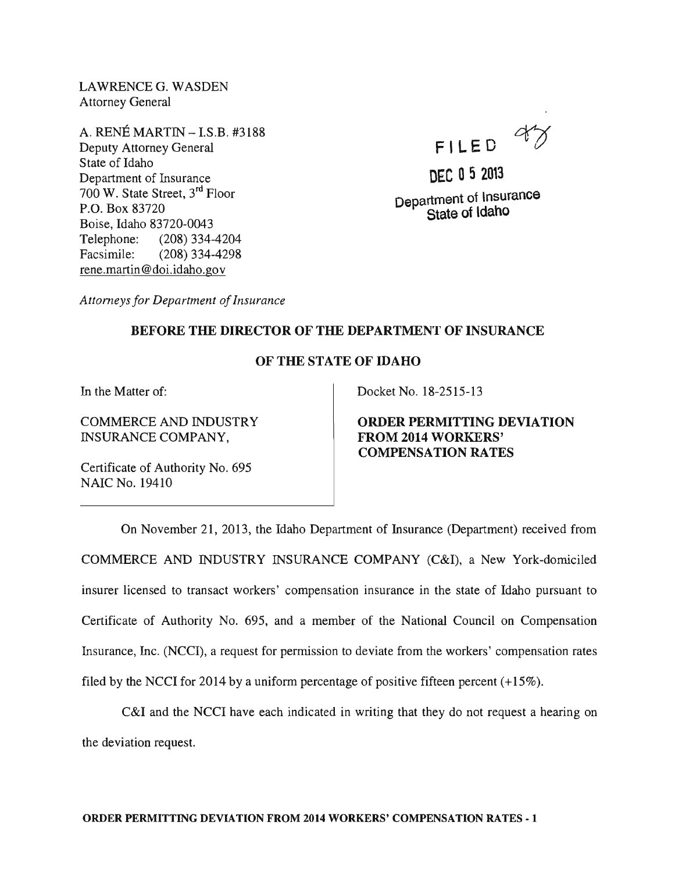LAWRENCE G. WASDEN Attorney General

A. RENE MARTIN -IS.B. #3188 Deputy Attorney General State of Idaho Department of Insurance 700 W. State Street, 3rd Floor P.O. Box 83720 Boise, Idaho 83720-0043 Telephone: (208) 334-4204 Facsimile: (208) 334-4298 rene.martin@doi.idaho.gov

FILED  $47$ 

DEC D 5 2013 Department of lnsurance State of idaho

*Attorneys for Department of Insurance* 

## BEFORE THE DIRECTOR OF THE DEPARTMENT OF INSURANCE

## OF THE STATE OF IDAHO

In the Matter of:

COMMERCE AND INDUSTRY INSURANCE COMPANY,

Certificate of Authority No. 695 NAIC No. 19410

Docket No. 18-2515-13

ORDER PERMITTING DEVIATION FROM 2014 WORKERS' COMPENSATION RATES

On November 21, 2013, the Idaho Department of Insurance (Department) received from COMMERCE AND INDUSTRY INSURANCE COMPANY (C&I), a New York-domiciled insurer licensed to transact workers' compensation insurance in the state of Idaho pursuant to Certificate of Authority No. 695, and a member of the National Council on Compensation Insurance, Inc. (NCCI), a request for permission to deviate from the workers' compensation rates filed by the NCCI for 2014 by a uniform percentage of positive fifteen percent  $(+15\%)$ .

C&I and the NCCI have each indicated in writing that they do not request a hearing on the deviation request.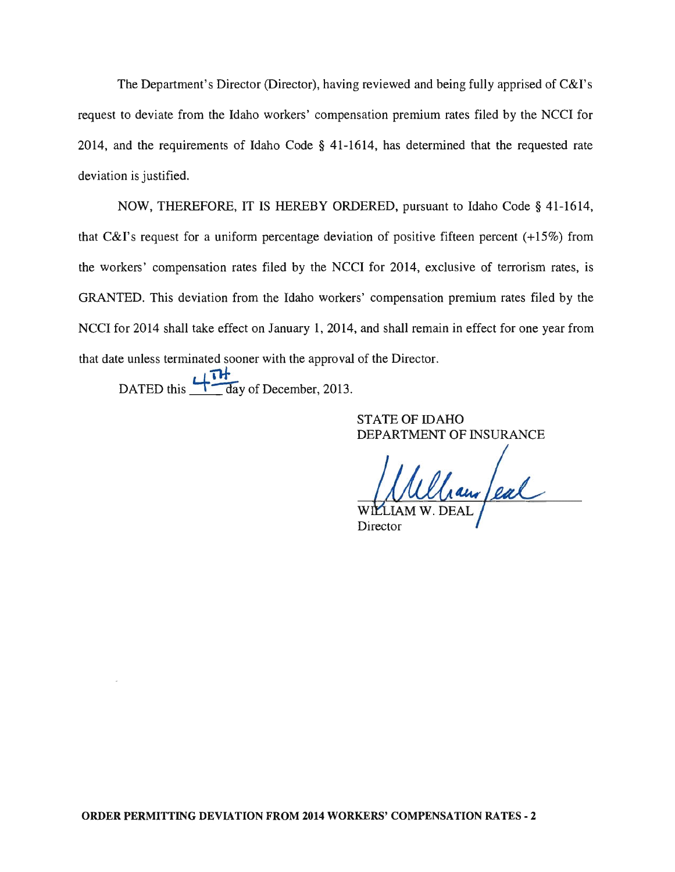The Department's Director (Director), having reviewed and being fully apprised of C&I's request to deviate from the Idaho workers' compensation premium rates filed by the NCCI for 2014, and the requirements of Idaho Code § 41-1614, has determined that the requested rate deviation is justified.

NOW, THEREFORE, IT IS HEREBY ORDERED, pursuant to Idaho Code § 41-1614, that C&I's request for a uniform percentage deviation of positive fifteen percent (+15%) from the workers' compensation rates filed by the NCCI for 2014, exclusive of terrorism rates, is GRANTED. This deviation from the Idaho workers' compensation premium rates filed by the NCCI for 2014 shall take effect on January 1, 2014, and shall remain in effect for one year from that date unless terminated sooner with the approval of the Director.

DATED this  $\frac{H}{d}$  day of December, 2013.

STATE OF IDAHO DEPARTMENT OF INSURANCE

laur feal W

Director